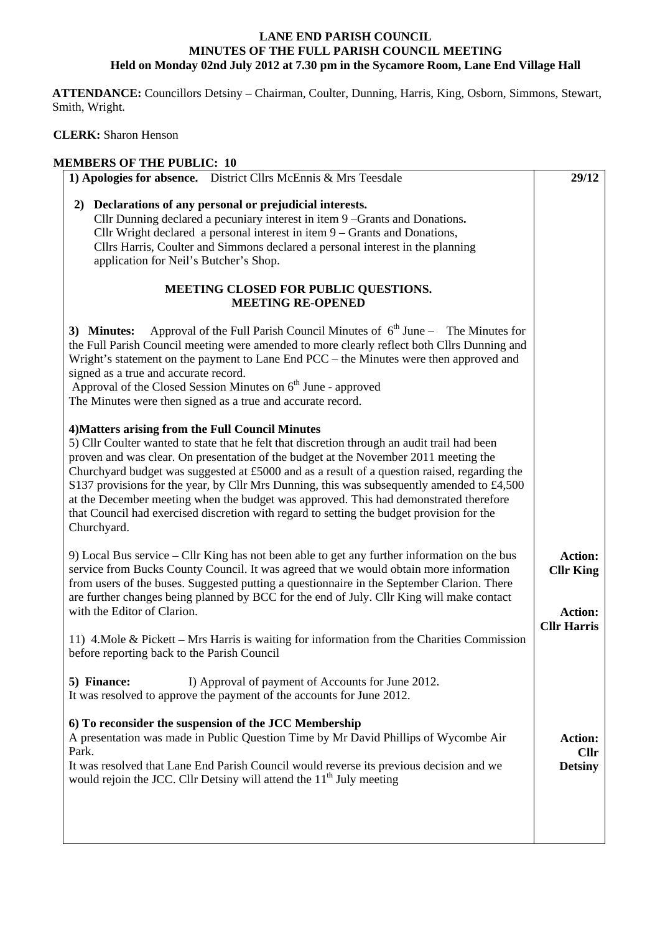## **LANE END PARISH COUNCIL MINUTES OF THE FULL PARISH COUNCIL MEETING Held on Monday 02nd July 2012 at 7.30 pm in the Sycamore Room, Lane End Village Hall**

 **ATTENDANCE:** Councillors Detsiny – Chairman, Coulter, Dunning, Harris, King, Osborn, Simmons, Stewart, Smith, Wright.

 **CLERK:** Sharon Henson

## **MEMBERS OF THE PUBLIC: 10**

| 1) Apologies for absence. District Cllrs McEnnis & Mrs Teesdale                                                                                                                                                                                                                                                                                                                                                                                                                                                                                                                                                                             | 29/12                                |  |  |  |
|---------------------------------------------------------------------------------------------------------------------------------------------------------------------------------------------------------------------------------------------------------------------------------------------------------------------------------------------------------------------------------------------------------------------------------------------------------------------------------------------------------------------------------------------------------------------------------------------------------------------------------------------|--------------------------------------|--|--|--|
| 2) Declarations of any personal or prejudicial interests.                                                                                                                                                                                                                                                                                                                                                                                                                                                                                                                                                                                   |                                      |  |  |  |
| Cllr Dunning declared a pecuniary interest in item 9 -Grants and Donations.                                                                                                                                                                                                                                                                                                                                                                                                                                                                                                                                                                 |                                      |  |  |  |
| Cllr Wright declared a personal interest in item $9 -$ Grants and Donations,                                                                                                                                                                                                                                                                                                                                                                                                                                                                                                                                                                |                                      |  |  |  |
| Cllrs Harris, Coulter and Simmons declared a personal interest in the planning<br>application for Neil's Butcher's Shop.                                                                                                                                                                                                                                                                                                                                                                                                                                                                                                                    |                                      |  |  |  |
|                                                                                                                                                                                                                                                                                                                                                                                                                                                                                                                                                                                                                                             |                                      |  |  |  |
| MEETING CLOSED FOR PUBLIC QUESTIONS.<br><b>MEETING RE-OPENED</b>                                                                                                                                                                                                                                                                                                                                                                                                                                                                                                                                                                            |                                      |  |  |  |
| Approval of the Full Parish Council Minutes of $6th$ June – The Minutes for<br>3) Minutes:<br>the Full Parish Council meeting were amended to more clearly reflect both Cllrs Dunning and<br>Wright's statement on the payment to Lane End PCC – the Minutes were then approved and<br>signed as a true and accurate record.<br>Approval of the Closed Session Minutes on 6 <sup>th</sup> June - approved                                                                                                                                                                                                                                   |                                      |  |  |  |
| The Minutes were then signed as a true and accurate record.                                                                                                                                                                                                                                                                                                                                                                                                                                                                                                                                                                                 |                                      |  |  |  |
| 4) Matters arising from the Full Council Minutes<br>5) Cllr Coulter wanted to state that he felt that discretion through an audit trail had been<br>proven and was clear. On presentation of the budget at the November 2011 meeting the<br>Churchyard budget was suggested at £5000 and as a result of a question raised, regarding the<br>S137 provisions for the year, by Cllr Mrs Dunning, this was subsequently amended to £4,500<br>at the December meeting when the budget was approved. This had demonstrated therefore<br>that Council had exercised discretion with regard to setting the budget provision for the<br>Churchyard. |                                      |  |  |  |
| 9) Local Bus service – Cllr King has not been able to get any further information on the bus<br>service from Bucks County Council. It was agreed that we would obtain more information<br>from users of the buses. Suggested putting a questionnaire in the September Clarion. There                                                                                                                                                                                                                                                                                                                                                        | <b>Action:</b><br><b>Cllr King</b>   |  |  |  |
| are further changes being planned by BCC for the end of July. Cllr King will make contact<br>with the Editor of Clarion.                                                                                                                                                                                                                                                                                                                                                                                                                                                                                                                    |                                      |  |  |  |
| 11) 4. Mole & Pickett - Mrs Harris is waiting for information from the Charities Commission<br>before reporting back to the Parish Council                                                                                                                                                                                                                                                                                                                                                                                                                                                                                                  | <b>Action:</b><br><b>Cllr Harris</b> |  |  |  |
| 5) Finance:<br>I) Approval of payment of Accounts for June 2012.<br>It was resolved to approve the payment of the accounts for June 2012.                                                                                                                                                                                                                                                                                                                                                                                                                                                                                                   |                                      |  |  |  |
| 6) To reconsider the suspension of the JCC Membership                                                                                                                                                                                                                                                                                                                                                                                                                                                                                                                                                                                       |                                      |  |  |  |
| A presentation was made in Public Question Time by Mr David Phillips of Wycombe Air                                                                                                                                                                                                                                                                                                                                                                                                                                                                                                                                                         | <b>Action:</b>                       |  |  |  |
| Park.<br>It was resolved that Lane End Parish Council would reverse its previous decision and we<br>would rejoin the JCC. Cllr Detsiny will attend the 11 <sup>th</sup> July meeting                                                                                                                                                                                                                                                                                                                                                                                                                                                        | <b>Cllr</b><br><b>Detsiny</b>        |  |  |  |
|                                                                                                                                                                                                                                                                                                                                                                                                                                                                                                                                                                                                                                             |                                      |  |  |  |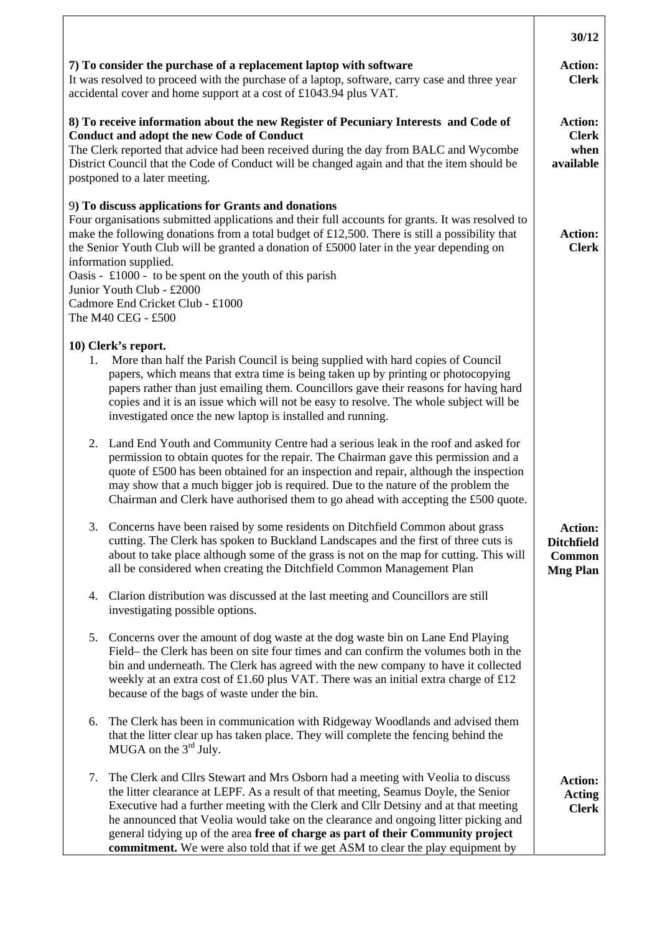|                                                                                                                                                                                                                                                                                                                                                                                                                                                                                                                                          | 30/12                                                                   |  |
|------------------------------------------------------------------------------------------------------------------------------------------------------------------------------------------------------------------------------------------------------------------------------------------------------------------------------------------------------------------------------------------------------------------------------------------------------------------------------------------------------------------------------------------|-------------------------------------------------------------------------|--|
| 7) To consider the purchase of a replacement laptop with software<br>It was resolved to proceed with the purchase of a laptop, software, carry case and three year<br>accidental cover and home support at a cost of £1043.94 plus VAT.                                                                                                                                                                                                                                                                                                  | <b>Action:</b><br><b>Clerk</b>                                          |  |
| 8) To receive information about the new Register of Pecuniary Interests and Code of<br><b>Conduct and adopt the new Code of Conduct</b><br>The Clerk reported that advice had been received during the day from BALC and Wycombe<br>District Council that the Code of Conduct will be changed again and that the item should be<br>postponed to a later meeting.                                                                                                                                                                         |                                                                         |  |
| 9) To discuss applications for Grants and donations<br>Four organisations submitted applications and their full accounts for grants. It was resolved to<br>make the following donations from a total budget of £12,500. There is still a possibility that<br>the Senior Youth Club will be granted a donation of £5000 later in the year depending on<br>information supplied.<br>Oasis - $\pounds1000$ - to be spent on the youth of this parish<br>Junior Youth Club - £2000<br>Cadmore End Cricket Club - £1000<br>The M40 CEG - £500 | <b>Action:</b><br><b>Clerk</b>                                          |  |
| 10) Clerk's report.<br>More than half the Parish Council is being supplied with hard copies of Council<br>1.<br>papers, which means that extra time is being taken up by printing or photocopying<br>papers rather than just emailing them. Councillors gave their reasons for having hard<br>copies and it is an issue which will not be easy to resolve. The whole subject will be<br>investigated once the new laptop is installed and running.                                                                                       |                                                                         |  |
| Land End Youth and Community Centre had a serious leak in the roof and asked for<br>2.<br>permission to obtain quotes for the repair. The Chairman gave this permission and a<br>quote of £500 has been obtained for an inspection and repair, although the inspection<br>may show that a much bigger job is required. Due to the nature of the problem the<br>Chairman and Clerk have authorised them to go ahead with accepting the £500 quote.                                                                                        |                                                                         |  |
| Concerns have been raised by some residents on Ditchfield Common about grass<br>3.<br>cutting. The Clerk has spoken to Buckland Landscapes and the first of three cuts is<br>about to take place although some of the grass is not on the map for cutting. This will<br>all be considered when creating the Ditchfield Common Management Plan                                                                                                                                                                                            | <b>Action:</b><br><b>Ditchfield</b><br><b>Common</b><br><b>Mng Plan</b> |  |
| Clarion distribution was discussed at the last meeting and Councillors are still<br>4.<br>investigating possible options.                                                                                                                                                                                                                                                                                                                                                                                                                |                                                                         |  |
| Concerns over the amount of dog waste at the dog waste bin on Lane End Playing<br>5.<br>Field– the Clerk has been on site four times and can confirm the volumes both in the<br>bin and underneath. The Clerk has agreed with the new company to have it collected<br>weekly at an extra cost of £1.60 plus VAT. There was an initial extra charge of £12<br>because of the bags of waste under the bin.                                                                                                                                 |                                                                         |  |
| The Clerk has been in communication with Ridgeway Woodlands and advised them<br>6.<br>that the litter clear up has taken place. They will complete the fencing behind the<br>MUGA on the 3 <sup>rd</sup> July.                                                                                                                                                                                                                                                                                                                           |                                                                         |  |
| The Clerk and Cllrs Stewart and Mrs Osborn had a meeting with Veolia to discuss<br>7.<br>the litter clearance at LEPF. As a result of that meeting, Seamus Doyle, the Senior<br>Executive had a further meeting with the Clerk and Cllr Detsiny and at that meeting<br>he announced that Veolia would take on the clearance and ongoing litter picking and<br>general tidying up of the area free of charge as part of their Community project<br>commitment. We were also told that if we get ASM to clear the play equipment by        | <b>Action:</b><br><b>Acting</b><br><b>Clerk</b>                         |  |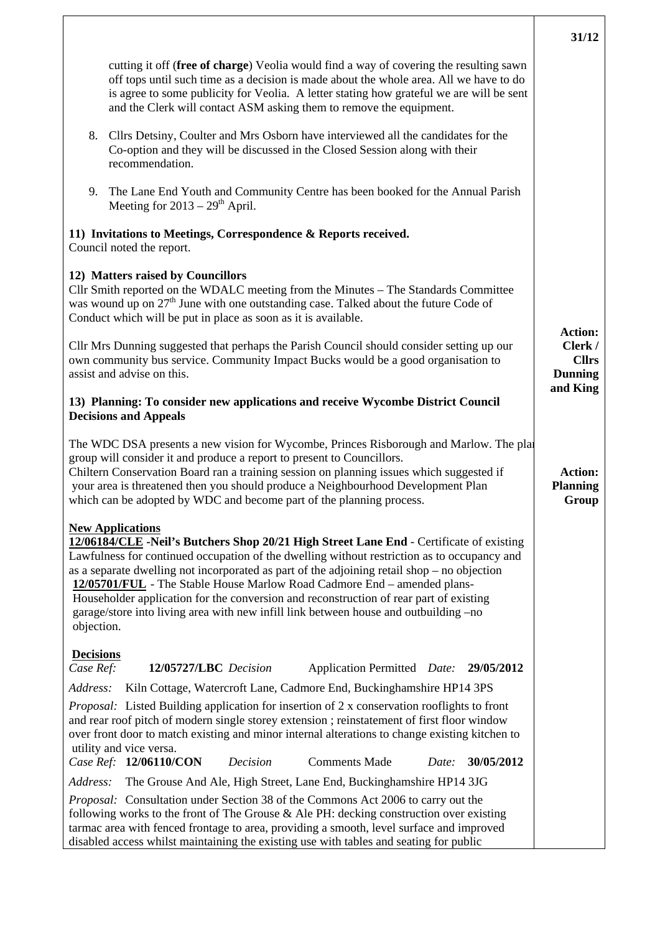|                                                                                                                                                                                                                                                                                                                                                                                                                                                                                                                                                                                              | 31/12                                                                   |
|----------------------------------------------------------------------------------------------------------------------------------------------------------------------------------------------------------------------------------------------------------------------------------------------------------------------------------------------------------------------------------------------------------------------------------------------------------------------------------------------------------------------------------------------------------------------------------------------|-------------------------------------------------------------------------|
| cutting it off (free of charge) Veolia would find a way of covering the resulting sawn<br>off tops until such time as a decision is made about the whole area. All we have to do<br>is agree to some publicity for Veolia. A letter stating how grateful we are will be sent<br>and the Clerk will contact ASM asking them to remove the equipment.                                                                                                                                                                                                                                          |                                                                         |
| 8.<br>Cllrs Detsiny, Coulter and Mrs Osborn have interviewed all the candidates for the<br>Co-option and they will be discussed in the Closed Session along with their<br>recommendation.                                                                                                                                                                                                                                                                                                                                                                                                    |                                                                         |
| 9.<br>The Lane End Youth and Community Centre has been booked for the Annual Parish<br>Meeting for $2013 - 29$ <sup>th</sup> April.                                                                                                                                                                                                                                                                                                                                                                                                                                                          |                                                                         |
| 11) Invitations to Meetings, Correspondence & Reports received.<br>Council noted the report.                                                                                                                                                                                                                                                                                                                                                                                                                                                                                                 |                                                                         |
| 12) Matters raised by Councillors<br>Cllr Smith reported on the WDALC meeting from the Minutes - The Standards Committee<br>was wound up on $27th$ June with one outstanding case. Talked about the future Code of<br>Conduct which will be put in place as soon as it is available.                                                                                                                                                                                                                                                                                                         |                                                                         |
| Cllr Mrs Dunning suggested that perhaps the Parish Council should consider setting up our<br>own community bus service. Community Impact Bucks would be a good organisation to<br>assist and advise on this.                                                                                                                                                                                                                                                                                                                                                                                 | <b>Action:</b><br>Clerk /<br><b>Cllrs</b><br><b>Dunning</b><br>and King |
| 13) Planning: To consider new applications and receive Wycombe District Council<br><b>Decisions and Appeals</b>                                                                                                                                                                                                                                                                                                                                                                                                                                                                              |                                                                         |
| The WDC DSA presents a new vision for Wycombe, Princes Risborough and Marlow. The plat<br>group will consider it and produce a report to present to Councillors.<br>Chiltern Conservation Board ran a training session on planning issues which suggested if<br>your area is threatened then you should produce a Neighbourhood Development Plan<br>which can be adopted by WDC and become part of the planning process.                                                                                                                                                                     | <b>Action:</b><br><b>Planning</b><br>Group                              |
| <b>New Applications</b><br>12/06184/CLE -Neil's Butchers Shop 20/21 High Street Lane End - Certificate of existing<br>Lawfulness for continued occupation of the dwelling without restriction as to occupancy and<br>as a separate dwelling not incorporated as part of the adjoining retail shop – no objection<br>12/05701/FUL - The Stable House Marlow Road Cadmore End – amended plans-<br>Householder application for the conversion and reconstruction of rear part of existing<br>garage/store into living area with new infill link between house and outbuilding -no<br>objection. |                                                                         |
| <b>Decisions</b><br>Case Ref:<br>12/05727/LBC Decision<br>Application Permitted Date: 29/05/2012                                                                                                                                                                                                                                                                                                                                                                                                                                                                                             |                                                                         |
| Kiln Cottage, Watercroft Lane, Cadmore End, Buckinghamshire HP14 3PS<br>Address:<br><i>Proposal:</i> Listed Building application for insertion of 2 x conservation rooflights to front<br>and rear roof pitch of modern single storey extension ; reinstatement of first floor window<br>over front door to match existing and minor internal alterations to change existing kitchen to<br>utility and vice versa.<br>Case Ref: 12/06110/CON<br>Decision<br><b>Comments Made</b><br>30/05/2012<br>Date:                                                                                      |                                                                         |
| Address:<br>The Grouse And Ale, High Street, Lane End, Buckinghamshire HP14 3JG                                                                                                                                                                                                                                                                                                                                                                                                                                                                                                              |                                                                         |
| Proposal: Consultation under Section 38 of the Commons Act 2006 to carry out the<br>following works to the front of The Grouse & Ale PH: decking construction over existing<br>tarmac area with fenced frontage to area, providing a smooth, level surface and improved<br>disabled access whilst maintaining the existing use with tables and seating for public                                                                                                                                                                                                                            |                                                                         |

 $\overline{\phantom{a}}$